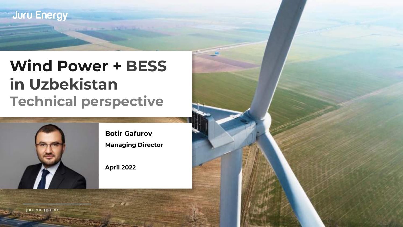## **Wind Power + BESS in Uzbekistan Technical perspective**



**Botir Gafurov Managing Director**

**April 2022**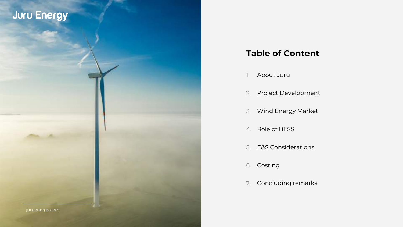### **Table of Content**

- 1. About Juru
- 2. Project Development
- 3. Wind Energy Market
- 4. Role of BESS
- 5. E&S Considerations
- 6. Costing
- 7. Concluding remarks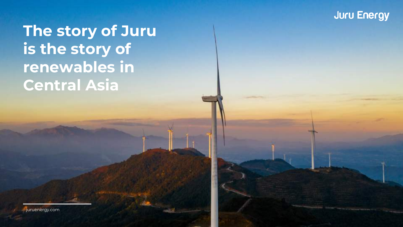## **The story of Juru is the story of renewables in Central Asia**

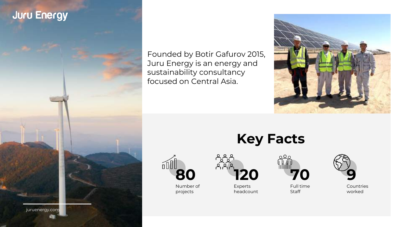

Founded by Botir Gafurov 2015, Juru Energy is an energy and sustainability consultancy focused on Central Asia.



**80** Number of

projects

**Key Facts**





Experts headcount

**70** Full time **Staff** 



Countries worked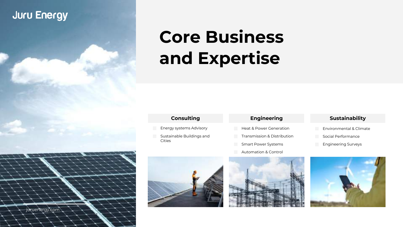# **Core Business and Expertise**

### **Consulting**

- Energy systems Advisory
- Sustainable Buildings and Cities

### **Engineering**

- Heat & Power Generation
- Transmission & Distribution
- Smart Power Systems
- Automation & Control



### **Sustainability**

- Environmental & Climate
- Social Performance Engineering Surveys





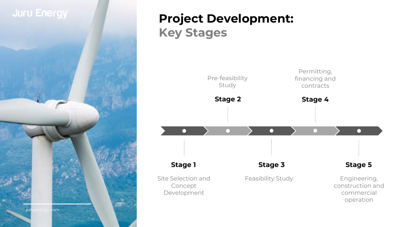

## **Project Development: Key Stages**

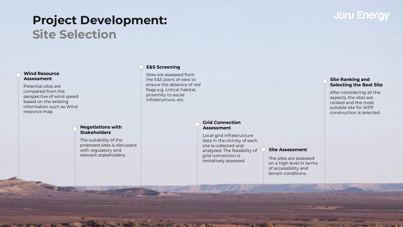## **Project Development: Site Selection**

### **Wind Resource Assessment**

Potential sites are compared from the perspective of wind speed based on the existing information such as Wind resource map.

#### **Negotiations with Stakeholders**

The suitability of the proposed sites is discussed with regulatory and relevant stakeholders.

### **E&S Screening**

Sites are assessed from the E&S point of view to ensure the absence of red flags e.g. critical habitat, proximity to social infrastructure, etc.

### **Grid Connection Assessment**

Local grid infrastructure data in the vicinity of each site is collected and analyzed. The feasibility of grid connection is tentatively assessed.

#### **Site Assessment**

The sites are assessed on a high level in terms of accessibility and terrain conditions.

### **Site Ranking and Selecting the Best Site**

After considering all the aspects, the sites are ranked and the most suitable site for WPP construction is selected.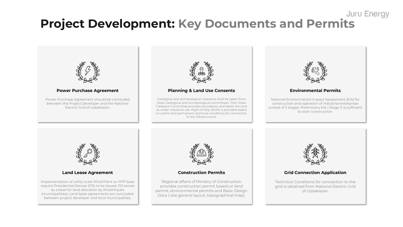### **Juru Energy Project Development: Key Documents and Permits**

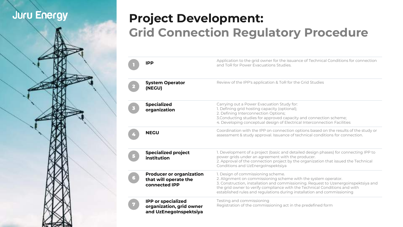## **Project Development: Grid Connection Regulatory Procedure**

| IPP                                                                             | Application to the grid owner for the issuance of Technical Conditions for connection<br>and ToR for Power Evacuations Studies.                                                                                                                                                                                                                      |
|---------------------------------------------------------------------------------|------------------------------------------------------------------------------------------------------------------------------------------------------------------------------------------------------------------------------------------------------------------------------------------------------------------------------------------------------|
| <b>System Operator</b><br>(NEGU)                                                | Review of the IPP's application & ToR for the Grid Studies                                                                                                                                                                                                                                                                                           |
| <b>Specialized</b><br>organization                                              | Carrying out a Power Evacuation Study for:<br>1. Defining grid hosting capacity (optional);<br>2. Defining Interconnection Options;<br>3. Conducting studies for approved capacity and connection scheme;<br>4. Developing conceptual design of Electrical Interconnection Facilities                                                                |
| <b>NEGU</b>                                                                     | Coordination with the IPP on connection options based on the results of the study or<br>assessment & study approval. Issuance of technical conditions for connection.                                                                                                                                                                                |
| <b>Specialized project</b><br>institution                                       | 1. Development of a project (basic and detailed design phases) for connecting IPP to<br>power grids under an agreement with the producer.<br>2. Approval of the connection project by the organization that issued the Technical<br>Conditions and UzEnergoInspektsiya                                                                               |
| <b>Producer or organization</b><br>that will operate the<br>connected IPP       | 1. Design of commissioning scheme.<br>2. Alignment on commissioning scheme with the system operator.<br>3. Construction, installation and commissioning. Request to Uzenergoinspektsiya and<br>the grid owner to verify compliance with the Technical Conditions and with<br>established rules and regulations during installation and commissioning |
| <b>IPP or specialized</b><br>organization, grid owner<br>and UzEnegoInspektsiya | Testing and commissioning<br>Registration of the commissioning act in the predefined form                                                                                                                                                                                                                                                            |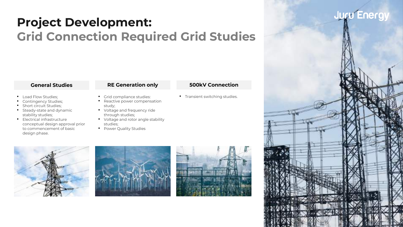## **Project Development: Grid Connection Required Grid Studies**

- Load Flow Studies;
- Contingency Studies;
- Short circuit Studies;
- Steady-state and dynamic stability studies;
- Electrical infrastructure conceptual design approval prior to commencement of basic design phase.

- Grid compliance studies: • Reactive power compensation study;
- Voltage and frequency ride through studies;
- Voltage and rotor angle stability studies;
- Power Quality Studies







### **General Studies RE Generation only 500kV Connection**

- Transient switching studies.
- 
- 

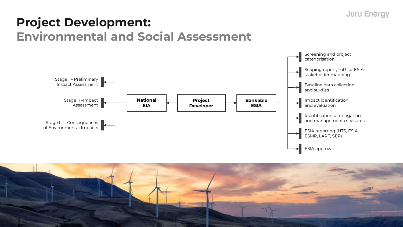## **Project Development: Environmental and Social Assessment**



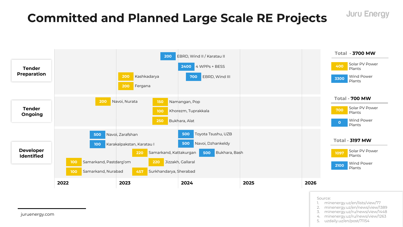## **Committed and Planned Large Scale RE Projects**



- Source:
	- minenergy.uz/en/lists/view/77

**Juru Energy** 

- 2. minenergy.uz/en/news/view/1389
- 3. minenergy.uz/ru/news/view/1448
- 4. minenergy.uz/ru/news/view/1263
- 5. uzdaily.uz/en/post/71154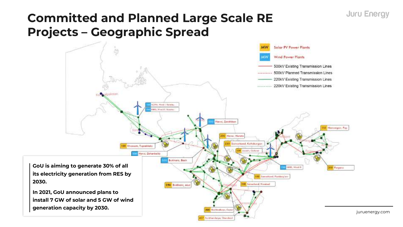## **Committed and Planned Large Scale RE Projects – Geographic Spread**

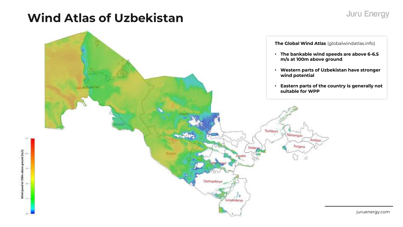## **Wind Atlas of Uzbekistan**

Wind speed at 200m above ground (m/s)

u.

 $-14.4$ 

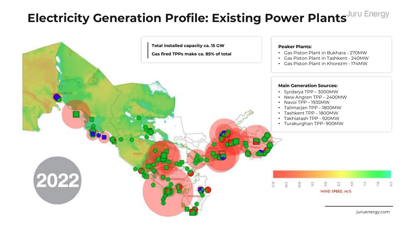## **Electricity Generation Profile: Existing Power Plants**

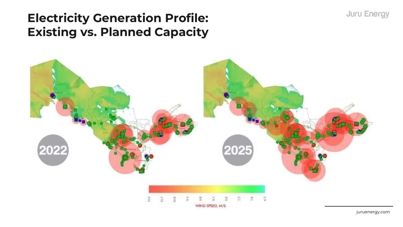## **Electricity Generation Profile: Existing vs. Planned Capacity**

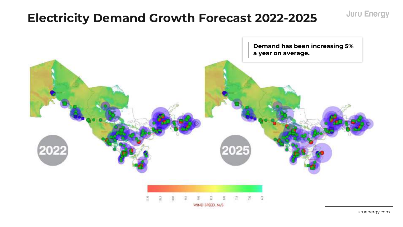## **Electricity Demand Growth Forecast 2022-2025**



juruenergy.com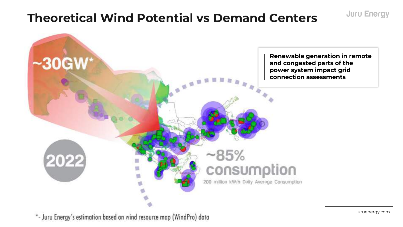## **Theoretical Wind Potential vs Demand Centers**

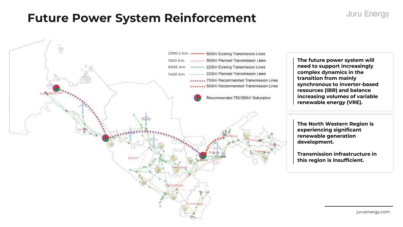## **Future Power System Reinforcement**

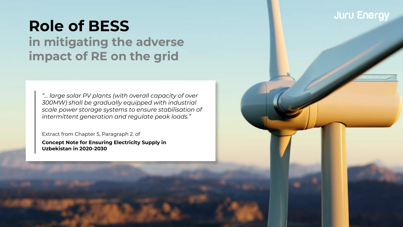## **Role of BESS**

**in mitigating the adverse impact of RE on the grid**

*"… large solar PV plants (with overall capacity of over 300MW) shall be gradually equipped with industrial scale power storage systems to ensure stabilisation of intermittent generation and regulate peak loads."*

Extract from Chapter 5, Paragraph 2. of

**Concept Note for Ensuring Electricity Supply in Uzbekistan in 2020-2030**

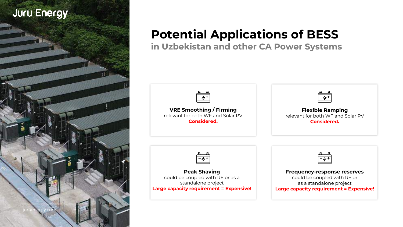

## **Potential Applications of BESS**

**in Uzbekistan and other CA Power Systems**

| $\overline{\phantom{a}}$ |  |
|--------------------------|--|
|                          |  |

**VRE Smoothing / Firming**  relevant for both WF and Solar PV **Considered.**

**Flexible Ramping**  relevant for both WF and Solar PV **Considered.**



**Peak Shaving**  could be coupled with RE or as a standalone project **Large capacity requirement = Expensive!**



**Frequency-response reserves**  could be coupled with RE or as a standalone project **Large capacity requirement = Expensive!**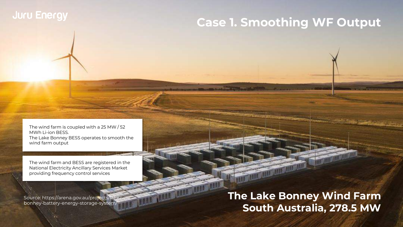## **Case 1. Smoothing WF Output**

The wind farm is coupled with a 25 MW / 52 MWh Li-ion BESS. The Lake Bonney BESS operates to smooth the wind farm output

The wind farm and BESS are registered in the National Electricity Ancillary Services Market providing frequency control services

**ASSESSMENT OF LOOKING** 

Source: https://arena.gov.au/projects/lakebonney-battery-energy-storage-system/

**The Lake Bonney Wind Farm South Australia, 278.5 MW**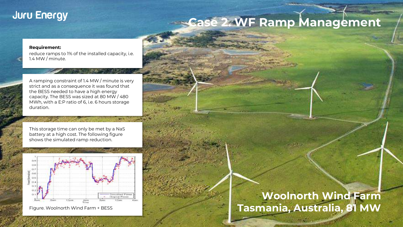## **Case 2. WF Ramp Management**

#### **Requirement:**

reduce ramps to 1% of the installed capacity, i.e. 1.4 MW / minute.

A ramping constraint of 1.4 MW / minute is very strict and as a consequence it was found that the BESS needed to have a high energy capacity. The BESS was sized at 80 MW / 480 MWh, with a E:P ratio of 6, i.e. 6 hours storage duration.

This storage time can only be met by a NaS battery at a high cost. The following figure shows the simulated ramp reduction.



Figure. Woolnorth Wind Farm + BESS

### **Woolnorth Wind Farm Tasmania, Australia, 81 MW**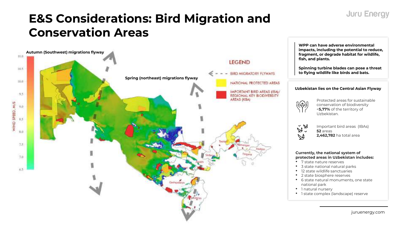## **E&S Considerations: Bird Migration and Conservation Areas**



**WPP can have adverse environmental impacts, including the potential to reduce, fragment, or degrade habitat for wildlife, fish, and plants.** 

**Spinning turbine blades can pose a threat to flying wildlife like birds and bats.**

#### **Uzbekistan lies on the Central Asian Flyway**



Protected areas for sustainable conservation of biodiversity <**5,77%** of the territory of Uzbekistan.

 $\mathring{\mathbb{A}}$   $\mathring{\mathbb{A}}$ Important bird areas (IBAs) **52** areas  $\mathbb{S}$ 

**2,462,782** ha total area

#### **Currently, the national system of protected areas in Uzbekistan includes:**

- 7 state nature reserves
- 3 state national natural parks
- 12 state wildlife sanctuaries
- 2 state biosphere reserves
- 6 state natural monuments, one state national park
- 1 natural nursery
- 1 state complex (landscape) reserve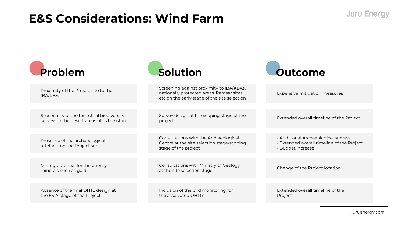## **E&S Considerations: Wind Farm**

| Problem                                                                                  | Solution                                                                                                                              | Outcome                                                                                                |
|------------------------------------------------------------------------------------------|---------------------------------------------------------------------------------------------------------------------------------------|--------------------------------------------------------------------------------------------------------|
| Proximity of the Project site to the<br>IBA/KBA                                          | Screening against proximity to IBA/KBAs,<br>nationally protected areas, Ramsar sites,<br>etc on the early stage of the site selection | Expensive mitigation measures                                                                          |
|                                                                                          |                                                                                                                                       |                                                                                                        |
| Seasonality of the terrestrial biodiversity<br>surveys in the desert areas of Uzbekistan | Survey design at the scoping stage of the<br>project                                                                                  | Extended overall timeline of the Project                                                               |
|                                                                                          |                                                                                                                                       |                                                                                                        |
| Presence of the archaeological<br>artefacts on the Project site                          | Consultations with the Archaeological<br>Centre at the site selection stage/scoping<br>stage of the project                           | - Additional Archaeological surveys<br>- Extended overall timeline of the Project<br>- Budget increase |
|                                                                                          |                                                                                                                                       |                                                                                                        |
| Mining potential for the priority<br>minerals such as gold                               | Consultations with Ministry of Geology<br>at the site selection stage                                                                 | Change of the Project location                                                                         |
|                                                                                          |                                                                                                                                       |                                                                                                        |
| Absence of the final OHTL design at<br>the ESIA stage of the Project                     | Inclusion of the bird monitoring for<br>the associated OHTLs                                                                          | Extended overall timeline of the<br>Project                                                            |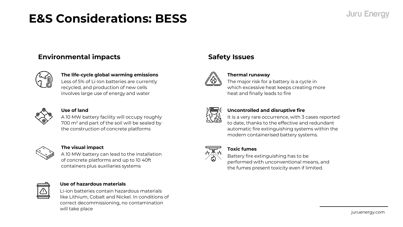## **E&S Considerations: BESS**

### **Environmental impacts**



### **The life-cycle global warming emissions**

Less of 5% of Li-Ion batteries are currently recycled, and production of new cells involves large use of energy and water



### **Use of land**

A 10 MW battery facility will occupy roughly 700 m<sup>2</sup> and part of the soil will be sealed by the construction of concrete platforms



### **The visual impact**

A 10 MW battery can lead to the installation of concrete platforms and up to 10 40ft containers plus auxiliaries systems



### **Use of hazardous materials**

Li-ion batteries contain hazardous materials like Lithium, Cobalt and Nickel. In conditions of correct decommissioning, no contamination will take place

### **Safety Issues**



### **Thermal runaway**

The major risk for a battery is a cycle in which excessive heat keeps creating more heat and finally leads to fire



### **Uncontrolled and disruptive fire**

It is a very rare occurrence, with 3 cases reported to date, thanks to the effective and redundant automatic fire extinguishing systems within the modern containerised battery systems.



### **Toxic fumes**

Battery fire extinguishing has to be performed with unconventional means, and the fumes present toxicity even if limited.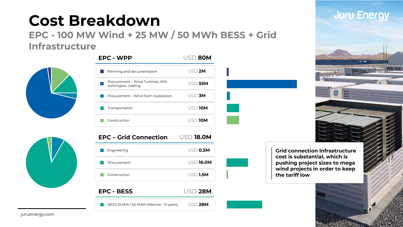## **Cost Breakdown**

**EPC - 100 MW Wind + 25 MW / 50 MWh BESS + Grid Infrastructure** 



| <b>EPC - WPP</b>                                       | USD 80M |
|--------------------------------------------------------|---------|
| Planning and documentation                             | USD 2M  |
| Procurement – Wind Turbines, MW<br>switchgear, cabling | USD 55M |
| Procurement – Wind Farm Substation                     | USD 3M  |
| Transportation                                         | USD 10M |
| Construction                                           | USD 10M |





BESS 25 MW / 50 MWh (lifetime - 15 years) USD **28M**



**Grid connection infrastructure cost is substantial, which is pushing project sizes to mega wind projects in order to keep the tariff low**

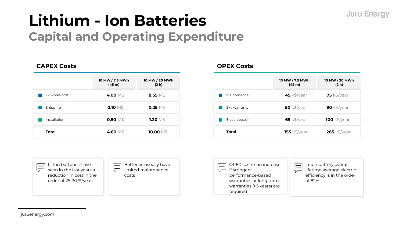## **Lithium - Ion Batteries Capital and Operating Expenditure**

### **CAPEX Costs**

|               | 10 MW / 7.5 MWh<br>(45 m) | 10 MW / 20 MWh<br>(2 h) |
|---------------|---------------------------|-------------------------|
| Ex works cost | 4.00 M\$                  | $8.55\ \mathrm{M}\$     |
| Shipping      | 0.10 $\text{M}\$$         | $0.25\ \mathrm{M}\$$    |
| Installation  | $0.50\ \rm{M}$ \$         | $1.20\ \mathrm{M}\$$    |
| <b>Total</b>  | 4.60 M\$                  | 10.00 $\text{M}\$$      |

### **OPEX Costs**

|               | 10 MW / 7.5 MWh<br>(45 m) | 10 MW / 20 MWh<br>(2 h) |
|---------------|---------------------------|-------------------------|
| Maintenance   | $45$ k\$/year             | $75$ k\$/year           |
| Ext. warranty | $50$ k\$/year             | 90 $k\$ /year           |
| Flect Losses* | $65$ k\$/year             | $100$ k\$/year          |
| <b>Total</b>  | <b>155 k\$/year</b>       | $265$ k\$/year          |



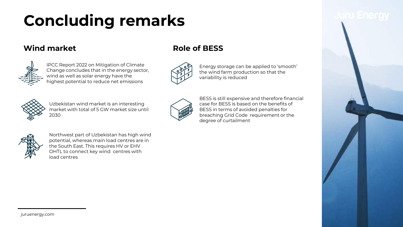## **Concluding remarks**

### **Wind market Role of BESS**



IPCC Report 2022 on Mitigation of Climate Change concludes that in the energy sector, wind as well as solar energy have the highest potential to reduce net emissions





Energy storage can be applied to 'smooth' the wind farm production so that the variability is reduced



Uzbekistan wind market is an interesting market with total of 5 GW market size until 2030



BESS is still expensive and therefore financial case for BESS is based on the benefits of BESS in terms of avoided penalties for breaching Grid Code requirement or the degree of curtailment



Northwest part of Uzbekistan has high wind potential, whereas main load centres are in the South East. This requires HV or EHV OHTL to connect key wind centres with load centres